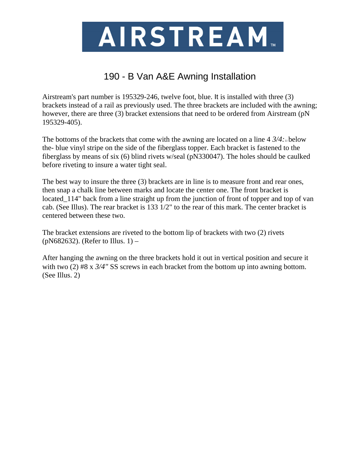

## 190 - B Van A&E Awning Installation

Airstream's part number is 195329-246, twelve foot, blue. It is installed with three (3) brackets instead of a rail as previously used. The three brackets are included with the awning; however, there are three (3) bracket extensions that need to be ordered from Airstream (pN 195329-405).

The bottoms of the brackets that come with the awning are located on a line  $4 \frac{3}{4}$ : the- blue vinyl stripe on the side of the fiberglass topper. Each bracket is fastened to the fiberglass by means of six (6) blind rivets w/seal (pN330047). The holes should be caulked before riveting to insure a water tight seal.

The best way to insure the three (3) brackets are in line is to measure front and rear ones, then snap a chalk line between marks and locate the center one. The front bracket is located\_114" back from a line straight up from the junction of front of topper and top of van cab. (See Illus). The rear bracket is 133 1/2" to the rear of this mark. The center bracket is centered between these two.

The bracket extensions are riveted to the bottom lip of brackets with two (2) rivets (pN682632). (Refer to Illus. 1) –

After hanging the awning on the three brackets hold it out in vertical position and secure it with two (2) #8 x  $3/4$ " SS screws in each bracket from the bottom up into awning bottom. (See Illus. 2)